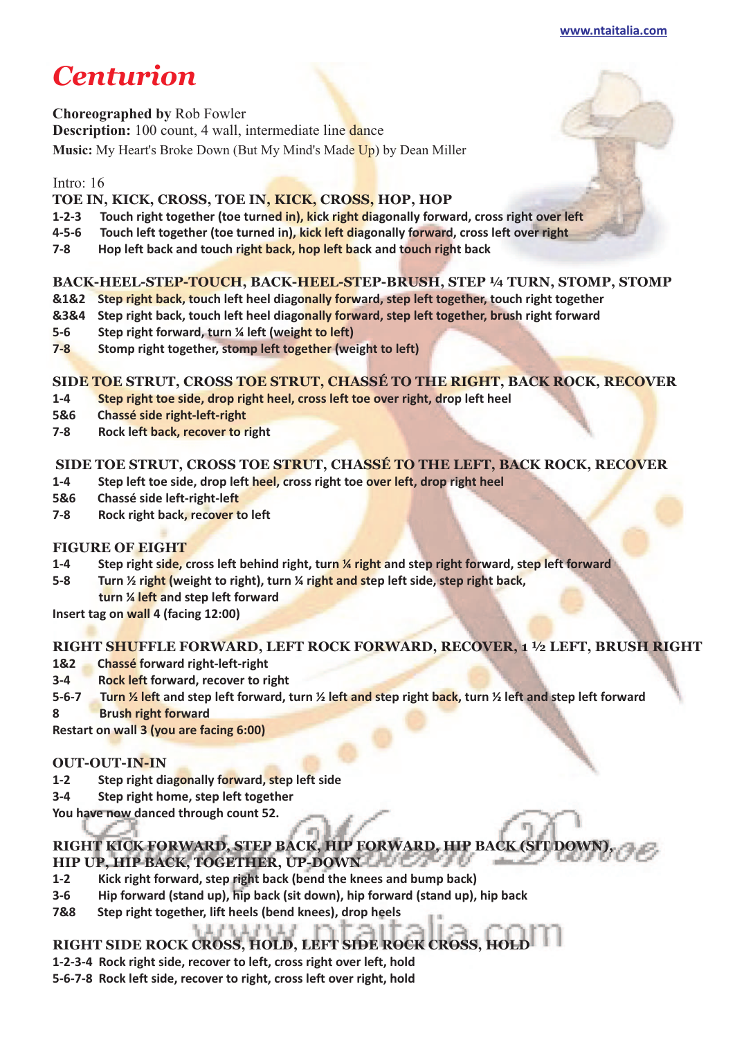**[www.ntaitalia.com](http://www.ntaitalia.com)**

# *Centurion*

**Choreographed by** Rob Fowler

**Description:** 100 count, 4 wall, intermediate line dance

**Music:** My Heart's Broke Down (But My Mind's Made Up) by Dean Miller

## Intro: 16

## **TOE IN, KICK, CROSS, TOE IN, KICK, CROSS, HOP, HOP**

- **1-2-3 Touch right together (toe turned in), kick right diagonally forward, cross right over left**
- **4-5-6 Touch left together (toe turned in), kick left diagonally forward, cross left over right**
- **7-8 Hop left back and touch right back, hop left back and touch right back**

# **BACK-HEEL-STEP-TOUCH, BACK-HEEL-STEP-BRUSH, STEP ¼ TURN, STOMP, STOMP**

- **&1&2 Step right back, touch left heel diagonally forward, step left together, touch right together**
- **&3&4 Step right back, touch left heel diagonally forward, step left together, brush right forward**
- **5-6 Step right forward, turn ¼ left (weight to left)**
- **7-8 Stomp right together, stomp left together (weight to left)**

## **SIDE TOE STRUT, CROSS TOE STRUT, CHASSÉ TO THE RIGHT, BACK ROCK, RECOVER**

- **1-4 Step right toe side, drop right heel, cross left toe over right, drop left heel**
- **5&6 Chassé side right-left-right**
- **7-8 Rock left back, recover to right**

# **SIDE TOE STRUT, CROSS TOE STRUT, CHASSÉ TO THE LEFT, BACK ROCK, RECOVER**

- **1-4 Step left toe side, drop left heel, cross right toe over left, drop right heel**
- **5&6 Chassé side left-right-left**
- **7-8 Rock right back, recover to left**

# **FIGURE OF EIGHT**

- **1-4 Step right side, cross left behind right, turn ¼ right and step right forward, step left forward**
- **5-8 Turn ½ right (weight to right), turn ¼ right and step left side, step right back,**
- **turn ¼ left and step left forward**

**Insert tag on wall 4 (facing 12:00)** 

# **RIGHT SHUFFLE FORWARD, LEFT ROCK FORWARD, RECOVER, 1 ½ LEFT, BRUSH RIGHT**

- **1&2 Chassé forward right-left-right**
- **3-4 Rock left forward, recover to right**
- **5-6-7 Turn ½ left and step left forward, turn ½ left and step right back, turn ½ left and step left forward**
- **8 Brush right forward**

**Restart on wall 3 (you are facing 6:00)** 

## **OUT-OUT-IN-IN**

- **1-2 Step right diagonally forward, step left side**
- **3-4 Step right home, step left together**
- **You have now danced through count 52.**

# **RIGHT KICK FORWARD, STEP BACK, HIP FORWARD, HIP BACK (SIT DOWN), HIP UP, HIP BACK, TOGETHER, UP-DOWN**

- **1-2 Kick right forward, step right back (bend the knees and bump back)**
- **3-6 Hip forward (stand up), hip back (sit down), hip forward (stand up), hip back**
- **7&8 Step right together, lift heels (bend knees), drop heels**

## **RIGHT SIDE ROCK CROSS, HOLD, LEFT SIDE ROCK CROSS, HOLD**

- **1-2-3-4 Rock right side, recover to left, cross right over left, hold**
- **5-6-7-8 Rock left side, recover to right, cross left over right, hold**